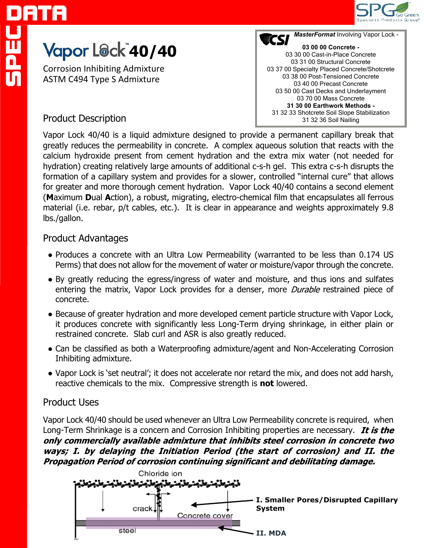

# **Yapor L@ck<sup>"</sup>40/40**

Corrosion Inhibiting Admixture ASTM C494 Type S Admixture



## Product Description

Vapor Lock 40/40 is a liquid admixture designed to provide a permanent capillary break that greatly reduces the permeability in concrete. A complex aqueous solution that reacts with the calcium hydroxide present from cement hydration and the extra mix water (not needed for hydration) creating relatively large amounts of additional c-s-h gel. This extra c-s-h disrupts the formation of a capillary system and provides for a slower, controlled "internal cure" that allows for greater and more thorough cement hydration. Vapor Lock 40/40 contains a second element (**M**aximum **D**ual **A**ction), a robust, migrating, electro-chemical film that encapsulates all ferrous material (i.e. rebar, p/t cables, etc.). It is clear in appearance and weights approximately 9.8 lbs./gallon.

## Product Advantages

- Produces a concrete with an Ultra Low Permeability (warranted to be less than 0.174 US Perms) that does not allow for the movement of water or moisture/vapor through the concrete.
- By greatly reducing the egress/ingress of water and moisture, and thus ions and sulfates entering the matrix, Vapor Lock provides for a denser, more *Durable* restrained piece of concrete.
- Because of greater hydration and more developed cement particle structure with Vapor Lock, it produces concrete with significantly less Long-Term drying shrinkage, in either plain or restrained concrete. Slab curl and ASR is also greatly reduced.
- Can be classified as both a Waterproofing admixture/agent and Non-Accelerating Corrosion Inhibiting admixture.
- Vapor Lock is 'set neutral'; it does not accelerate nor retard the mix, and does not add harsh, reactive chemicals to the mix. Compressive strength is **not** lowered.

## Product Uses

Vapor Lock 40/40 should be used whenever an Ultra Low Permeability concrete is required, when Long-Term Shrinkage is a concern and Corrosion Inhibiting properties are necessary. It is the only commercially available admixture that inhibits steel corrosion in concrete two ways; I. by delaying the Initiation Period (the start of corrosion) and II. the Propagation Period of corrosion continuing significant and debilitating damage.